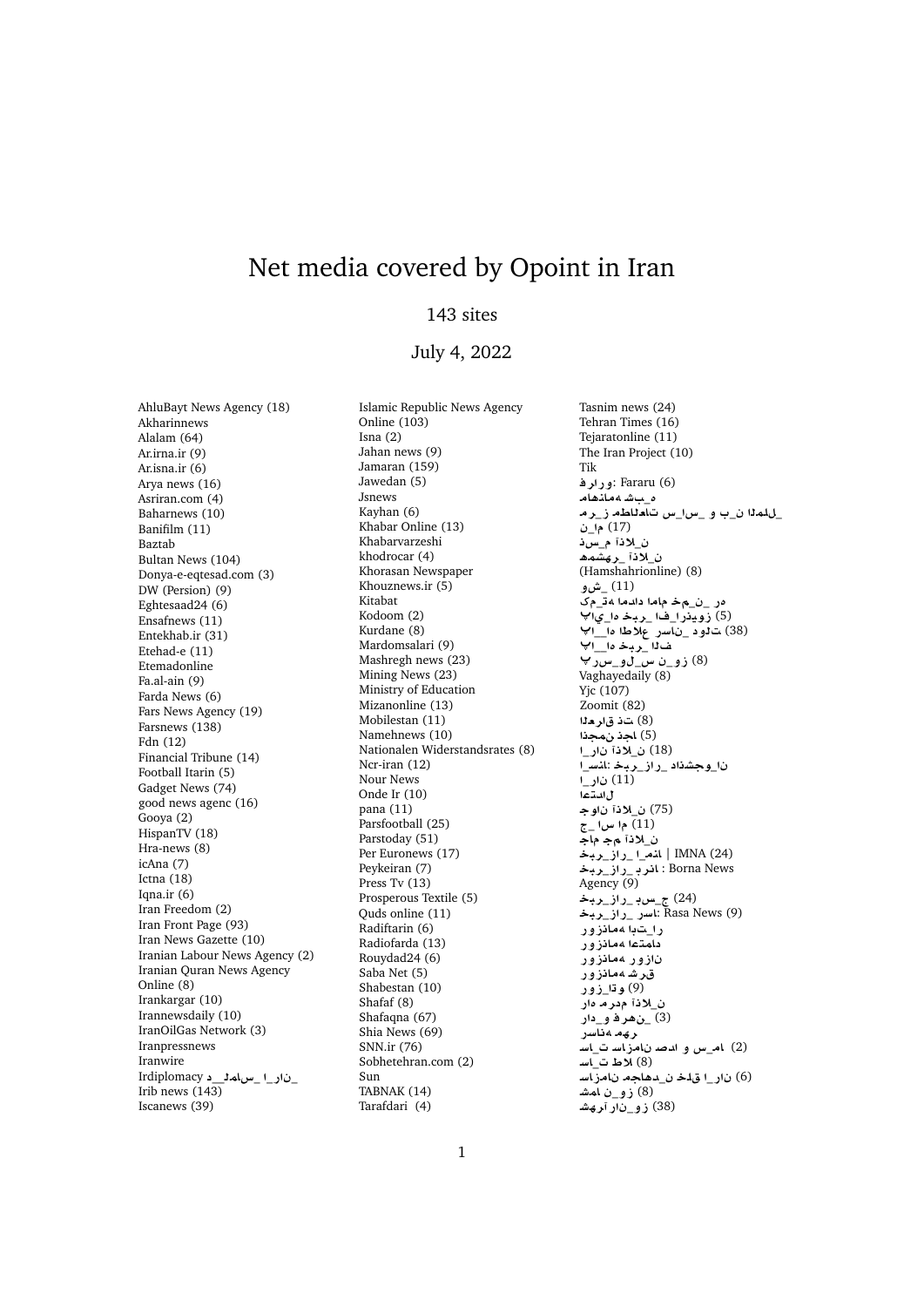## Net media covered by Opoint in Iran

## 143 sites

## July 4, 2022

AhluBayt News Agency (18) Akharinnews Alalam (64) Ar.irna.ir (9) Ar.isna.ir (6) Arya news (16) Asriran.com (4) Baharnews (10) Banifilm (11) Baztab Bultan News (104) Donya-e-eqtesad.com (3) DW (Persion) (9) Eghtesaad24 (6) Ensafnews (11) Entekhab.ir (31) Etehad-e (11) Etemadonline Fa.al-ain (9) Farda News (6) Fars News Agency (19) Farsnews (138) Fdn (12) Financial Tribune (14) Football Itarin (5) Gadget News (74) good news agenc (16) Gooya (2) HispanTV (18) Hra-news (8) icAna (7) Ictna (18) Iqna.ir  $(6)$ Iran Freedom (2) Iran Front Page (93) Iran News Gazette (10) Iranian Labour News Agency (2) Iranian Quran News Agency Online (8) Irankargar (10) Irannewsdaily (10) IranOilGas Network (3) Iranpressnews Iranwire Irdiplomacy\_\_**mAx**\_ \_**C** \_ Irib news (143) Iscanews (39)

Islamic Republic News Agency Online (103) Isna (2) Jahan news (9) Jamaran (159) Jawedan (5) Jsnews Kayhan (6) Khabar Online (13) Khabarvarzeshi khodrocar (4) Khorasan Newspaper Khouznews.ir (5) Kitabat Kodoom (2) Kurdane (8) Mardomsalari (9) Mashregh news (23) Mining News (23) Ministry of Education Mizanonline (13) Mobilestan (11) Namehnews (10) Nationalen Widerstandsrates (8) Ncr-iran (12) Nour News Onde Ir (10) pana (11) Parsfootball (25) Parstoday (51) Per Euronews (17) Peykeiran (7) Press Tv (13) Prosperous Textile (5) Quds online (11) Radiftarin (6) Radiofarda (13) Rouydad24 (6) Saba Net (5) Shabestan (10) Shafaf (8) Shafaqna (67) Shia News (69) SNN.ir (76) Sobhetehran.com (2) Sun TABNAK (14) Tarafdari (4)

Tasnim news (24) Tehran Times (16) Tejaratonline (11) The Iran Project (10) Tik **Fararu** (6) :ورارف ه بشهمانهام \_للملا ن\_ب و \_*س\\_س* تاملاطه ز\_ر م \_ (17) **H**\_ **®**\_ ن الاذآ رهشمه (Hamshahrionline) (8) **¤M**\_ (11) مر \_ن\_م**خ ماما دادما 4ت**\_مک (5) **زوي**در ا\_فا \_ربـخـ *ه*ا\_ي√<sup>پ</sup> (38) ت**1و د \_ناسر علاطا ما\_\_ا** ف1<u>1 - ري</u>ـڅ ها\_\_ا **Cx**\_**¤**\_**x** \_**¤E** (8) Vaghayedaily  $(8)$ Yjc (107) Zoomit (82) (8) ت**ذ ق**اره<sup>1</sup>ا (5) **اجذ نمجذا** \_**C ®**\_ (18) \_**FnA**: **br**\_**EC**\_ **Kw**\_ (11) نا**ر\_**ا ل ا**ل**تها (75) ن\_لاذا ناوج \_ **x**  (11) ن\_لاذآ م,ج ماج **b** | المقرار راز \_ربخة **br**\_**EC**\_ **rA** : Borna News Agency (9) (24) <u>ج سود راز -ري</u>خ **br**\_**EC**\_ **CFA**: Rasa News (9) را<sub>س</sub>تبا ممانزور ر \_ \_ .<br>دامت**ما م**مانزور نازور مما**نزور** قرشهمانزور .<br>(9) **و ت**ارو ور ن\_لاذآ مدر ما دار **C** \_**¤ r¡**\_ (3) ر *په ه* داسر (2) **ام\_س و ا***ند***صد نامزا***س***ت\_ا***س***ـ (8)** الأط ت<sup>1</sup>سـ (6) نار\_ا ق**لخ ن\_دهاجه نامز**اسـ (8) زو\_ن آم*مش* (38) **زو\_ن**ار آ**ر**هشـ